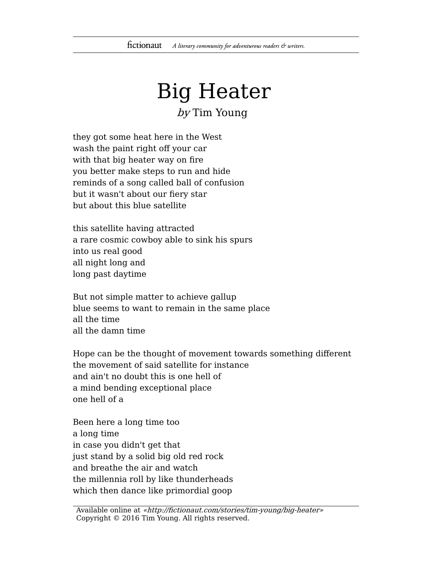## Big Heater

## by Tim Young

they got some heat here in the West wash the paint right off your car with that big heater way on fire you better make steps to run and hide reminds of a song called ball of confusion but it wasn't about our fiery star but about this blue satellite

this satellite having attracted a rare cosmic cowboy able to sink his spurs into us real good all night long and long past daytime

But not simple matter to achieve gallup blue seems to want to remain in the same place all the time all the damn time

Hope can be the thought of movement towards something different the movement of said satellite for instance and ain't no doubt this is one hell of a mind bending exceptional place one hell of a

Been here a long time too a long time in case you didn't get that just stand by a solid big old red rock and breathe the air and watch the millennia roll by like thunderheads which then dance like primordial goop

Available online at «http://fictionaut.com/stories/tim-young/big-heater» Copyright © 2016 Tim Young. All rights reserved.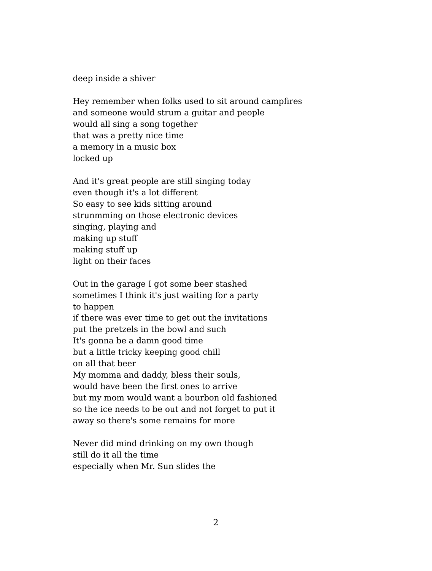deep inside a shiver

Hey remember when folks used to sit around campfires and someone would strum a guitar and people would all sing a song together that was a pretty nice time a memory in a music box locked up

And it's great people are still singing today even though it's a lot different So easy to see kids sitting around strunmming on those electronic devices singing, playing and making up stuff making stuff up light on their faces

Out in the garage I got some beer stashed sometimes I think it's just waiting for a party to happen if there was ever time to get out the invitations put the pretzels in the bowl and such It's gonna be a damn good time but a little tricky keeping good chill on all that beer My momma and daddy, bless their souls, would have been the first ones to arrive but my mom would want a bourbon old fashioned so the ice needs to be out and not forget to put it away so there's some remains for more

Never did mind drinking on my own though still do it all the time especially when Mr. Sun slides the